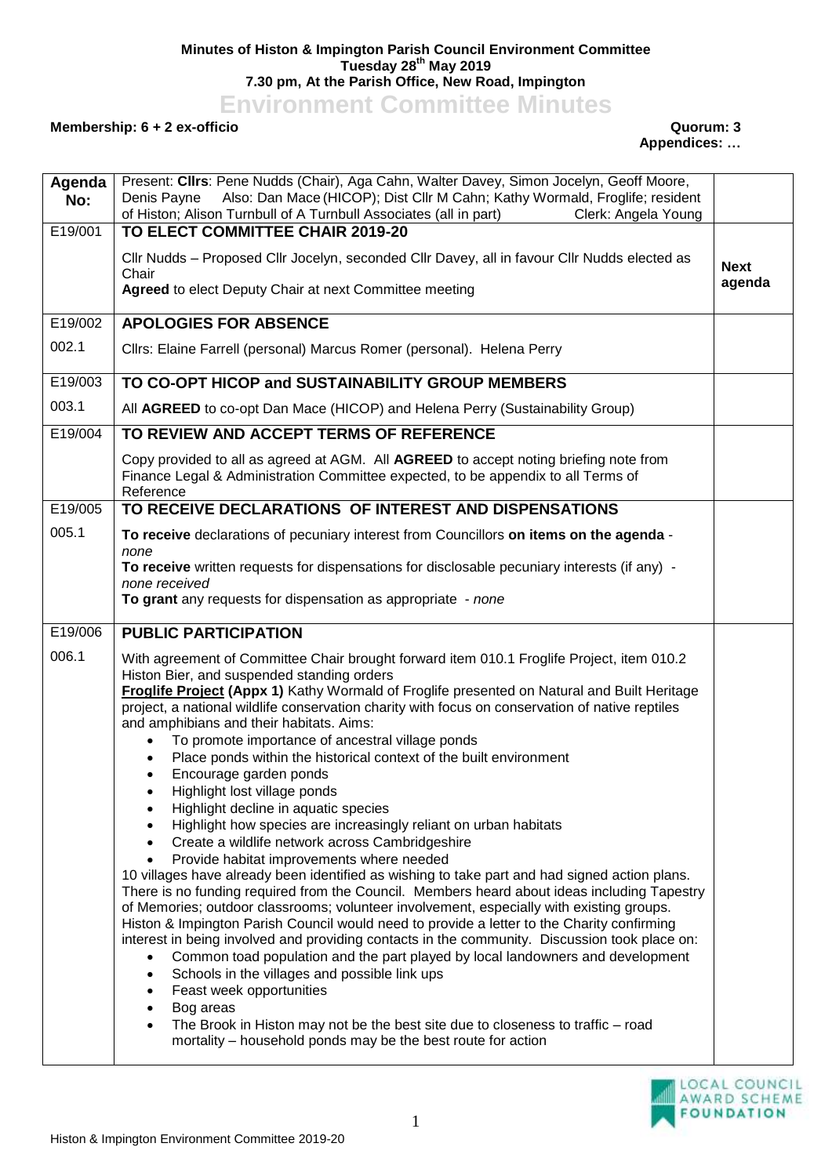## **Minutes of Histon & Impington Parish Council Environment Committee Tuesday 28 th May 2019 7.30 pm, At the Parish Office, New Road, Impington**

**Environment Committee Minutes**

## **Membership: 6 + 2 ex-officio Quorum: 3**

**Appendices: …**

| Agenda<br>No:    | Present: Clirs: Pene Nudds (Chair), Aga Cahn, Walter Davey, Simon Jocelyn, Geoff Moore,<br>Also: Dan Mace (HICOP); Dist Cllr M Cahn; Kathy Wormald, Froglife; resident<br>Denis Payne<br>of Histon; Alison Turnbull of A Turnbull Associates (all in part)<br>Clerk: Angela Young                                                                                                                                                                                                                                                         |             |
|------------------|-------------------------------------------------------------------------------------------------------------------------------------------------------------------------------------------------------------------------------------------------------------------------------------------------------------------------------------------------------------------------------------------------------------------------------------------------------------------------------------------------------------------------------------------|-------------|
| E19/001          | TO ELECT COMMITTEE CHAIR 2019-20                                                                                                                                                                                                                                                                                                                                                                                                                                                                                                          |             |
|                  | Cllr Nudds - Proposed Cllr Jocelyn, seconded Cllr Davey, all in favour Cllr Nudds elected as<br>Chair                                                                                                                                                                                                                                                                                                                                                                                                                                     | <b>Next</b> |
|                  | Agreed to elect Deputy Chair at next Committee meeting                                                                                                                                                                                                                                                                                                                                                                                                                                                                                    | agenda      |
| E19/002          | <b>APOLOGIES FOR ABSENCE</b>                                                                                                                                                                                                                                                                                                                                                                                                                                                                                                              |             |
| 002.1            | Cllrs: Elaine Farrell (personal) Marcus Romer (personal). Helena Perry                                                                                                                                                                                                                                                                                                                                                                                                                                                                    |             |
| E19/003          | TO CO-OPT HICOP and SUSTAINABILITY GROUP MEMBERS                                                                                                                                                                                                                                                                                                                                                                                                                                                                                          |             |
| 003.1            | All AGREED to co-opt Dan Mace (HICOP) and Helena Perry (Sustainability Group)                                                                                                                                                                                                                                                                                                                                                                                                                                                             |             |
| E19/004          | TO REVIEW AND ACCEPT TERMS OF REFERENCE                                                                                                                                                                                                                                                                                                                                                                                                                                                                                                   |             |
|                  | Copy provided to all as agreed at AGM. All AGREED to accept noting briefing note from<br>Finance Legal & Administration Committee expected, to be appendix to all Terms of<br>Reference                                                                                                                                                                                                                                                                                                                                                   |             |
| E19/005          | TO RECEIVE DECLARATIONS OF INTEREST AND DISPENSATIONS                                                                                                                                                                                                                                                                                                                                                                                                                                                                                     |             |
| 005.1            | To receive declarations of pecuniary interest from Councillors on items on the agenda -<br>none                                                                                                                                                                                                                                                                                                                                                                                                                                           |             |
|                  | To receive written requests for dispensations for disclosable pecuniary interests (if any) -                                                                                                                                                                                                                                                                                                                                                                                                                                              |             |
|                  | none received<br>To grant any requests for dispensation as appropriate - none                                                                                                                                                                                                                                                                                                                                                                                                                                                             |             |
|                  |                                                                                                                                                                                                                                                                                                                                                                                                                                                                                                                                           |             |
| E19/006<br>006.1 | <b>PUBLIC PARTICIPATION</b>                                                                                                                                                                                                                                                                                                                                                                                                                                                                                                               |             |
|                  | With agreement of Committee Chair brought forward item 010.1 Froglife Project, item 010.2<br>Histon Bier, and suspended standing orders<br>Froglife Project (Appx 1) Kathy Wormald of Froglife presented on Natural and Built Heritage<br>project, a national wildlife conservation charity with focus on conservation of native reptiles<br>and amphibians and their habitats. Aims:<br>To promote importance of ancestral village ponds<br>Place ponds within the historical context of the built environment<br>Encourage garden ponds |             |
|                  | Highlight lost village ponds<br>Highlight decline in aquatic species                                                                                                                                                                                                                                                                                                                                                                                                                                                                      |             |
|                  | Highlight how species are increasingly reliant on urban habitats                                                                                                                                                                                                                                                                                                                                                                                                                                                                          |             |
|                  | Create a wildlife network across Cambridgeshire<br>Provide habitat improvements where needed                                                                                                                                                                                                                                                                                                                                                                                                                                              |             |
|                  | 10 villages have already been identified as wishing to take part and had signed action plans.<br>There is no funding required from the Council. Members heard about ideas including Tapestry<br>of Memories; outdoor classrooms; volunteer involvement, especially with existing groups.<br>Histon & Impington Parish Council would need to provide a letter to the Charity confirming<br>interest in being involved and providing contacts in the community. Discussion took place on:                                                   |             |
|                  | Common toad population and the part played by local landowners and development<br>Schools in the villages and possible link ups<br>Feast week opportunities<br>Bog areas<br>The Brook in Histon may not be the best site due to closeness to traffic - road                                                                                                                                                                                                                                                                               |             |

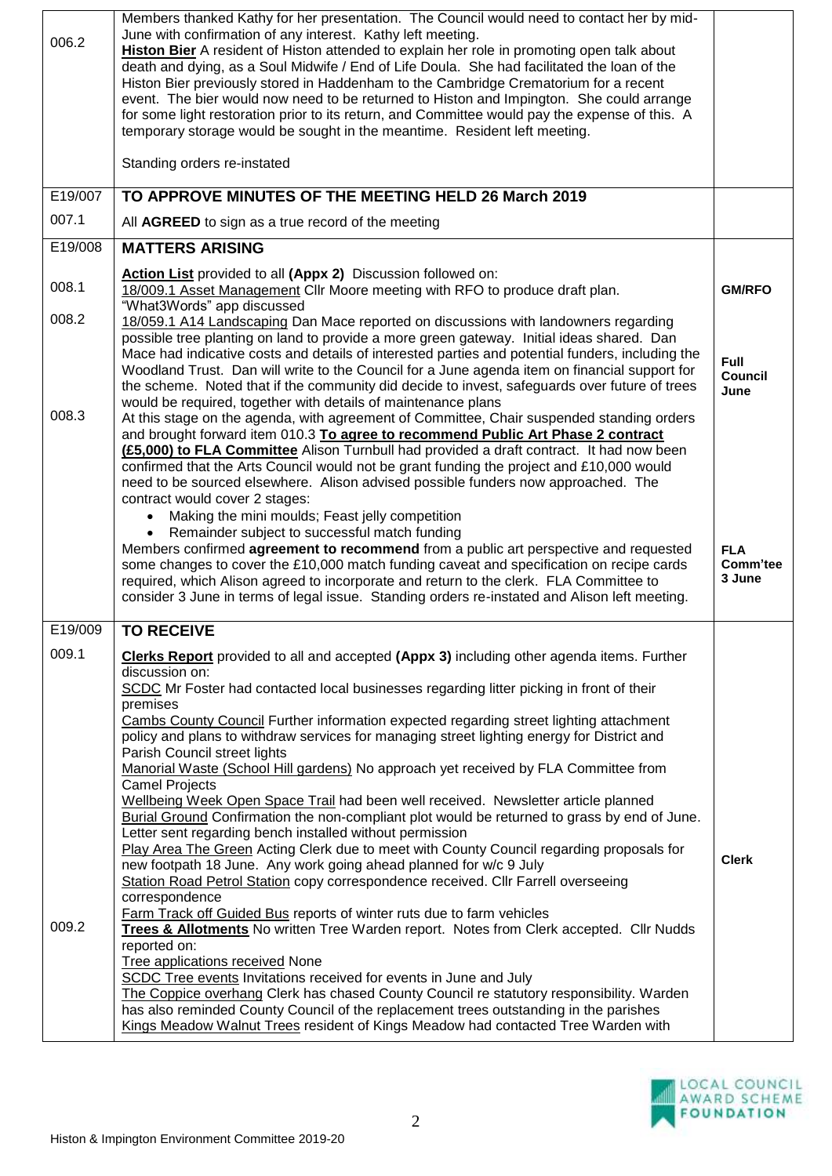| 006.2          | Members thanked Kathy for her presentation. The Council would need to contact her by mid-<br>June with confirmation of any interest. Kathy left meeting.<br>Histon Bier A resident of Histon attended to explain her role in promoting open talk about<br>death and dying, as a Soul Midwife / End of Life Doula. She had facilitated the loan of the<br>Histon Bier previously stored in Haddenham to the Cambridge Crematorium for a recent<br>event. The bier would now need to be returned to Histon and Impington. She could arrange<br>for some light restoration prior to its return, and Committee would pay the expense of this. A<br>temporary storage would be sought in the meantime. Resident left meeting.                                                                                                                                                                                                                                                                                                                                                                                                                                                                                                                                         |                                       |
|----------------|------------------------------------------------------------------------------------------------------------------------------------------------------------------------------------------------------------------------------------------------------------------------------------------------------------------------------------------------------------------------------------------------------------------------------------------------------------------------------------------------------------------------------------------------------------------------------------------------------------------------------------------------------------------------------------------------------------------------------------------------------------------------------------------------------------------------------------------------------------------------------------------------------------------------------------------------------------------------------------------------------------------------------------------------------------------------------------------------------------------------------------------------------------------------------------------------------------------------------------------------------------------|---------------------------------------|
|                | Standing orders re-instated                                                                                                                                                                                                                                                                                                                                                                                                                                                                                                                                                                                                                                                                                                                                                                                                                                                                                                                                                                                                                                                                                                                                                                                                                                      |                                       |
| E19/007        | TO APPROVE MINUTES OF THE MEETING HELD 26 March 2019                                                                                                                                                                                                                                                                                                                                                                                                                                                                                                                                                                                                                                                                                                                                                                                                                                                                                                                                                                                                                                                                                                                                                                                                             |                                       |
| 007.1          | All AGREED to sign as a true record of the meeting                                                                                                                                                                                                                                                                                                                                                                                                                                                                                                                                                                                                                                                                                                                                                                                                                                                                                                                                                                                                                                                                                                                                                                                                               |                                       |
| E19/008        | <b>MATTERS ARISING</b>                                                                                                                                                                                                                                                                                                                                                                                                                                                                                                                                                                                                                                                                                                                                                                                                                                                                                                                                                                                                                                                                                                                                                                                                                                           |                                       |
| 008.1          | Action List provided to all (Appx 2) Discussion followed on:<br>18/009.1 Asset Management Cllr Moore meeting with RFO to produce draft plan.<br>"What3Words" app discussed                                                                                                                                                                                                                                                                                                                                                                                                                                                                                                                                                                                                                                                                                                                                                                                                                                                                                                                                                                                                                                                                                       | <b>GM/RFO</b>                         |
| 008.2<br>008.3 | 18/059.1 A14 Landscaping Dan Mace reported on discussions with landowners regarding<br>possible tree planting on land to provide a more green gateway. Initial ideas shared. Dan<br>Mace had indicative costs and details of interested parties and potential funders, including the<br>Woodland Trust. Dan will write to the Council for a June agenda item on financial support for<br>the scheme. Noted that if the community did decide to invest, safeguards over future of trees<br>would be required, together with details of maintenance plans                                                                                                                                                                                                                                                                                                                                                                                                                                                                                                                                                                                                                                                                                                          | <b>Full</b><br><b>Council</b><br>June |
|                | At this stage on the agenda, with agreement of Committee, Chair suspended standing orders<br>and brought forward item 010.3 To agree to recommend Public Art Phase 2 contract<br>(£5,000) to FLA Committee Alison Turnbull had provided a draft contract. It had now been<br>confirmed that the Arts Council would not be grant funding the project and £10,000 would<br>need to be sourced elsewhere. Alison advised possible funders now approached. The<br>contract would cover 2 stages:<br>Making the mini moulds; Feast jelly competition<br>Remainder subject to successful match funding                                                                                                                                                                                                                                                                                                                                                                                                                                                                                                                                                                                                                                                                 |                                       |
|                | Members confirmed agreement to recommend from a public art perspective and requested<br>some changes to cover the £10,000 match funding caveat and specification on recipe cards<br>required, which Alison agreed to incorporate and return to the clerk. FLA Committee to<br>consider 3 June in terms of legal issue. Standing orders re-instated and Alison left meeting.                                                                                                                                                                                                                                                                                                                                                                                                                                                                                                                                                                                                                                                                                                                                                                                                                                                                                      | <b>FLA</b><br>Comm'tee<br>3 June      |
| E19/009        | <b>TO RECEIVE</b>                                                                                                                                                                                                                                                                                                                                                                                                                                                                                                                                                                                                                                                                                                                                                                                                                                                                                                                                                                                                                                                                                                                                                                                                                                                |                                       |
| 009.1<br>009.2 | <b>Clerks Report</b> provided to all and accepted (Appx 3) including other agenda items. Further<br>discussion on:<br>SCDC Mr Foster had contacted local businesses regarding litter picking in front of their<br>premises<br>Cambs County Council Further information expected regarding street lighting attachment<br>policy and plans to withdraw services for managing street lighting energy for District and<br>Parish Council street lights<br>Manorial Waste (School Hill gardens) No approach yet received by FLA Committee from<br><b>Camel Projects</b><br>Wellbeing Week Open Space Trail had been well received. Newsletter article planned<br>Burial Ground Confirmation the non-compliant plot would be returned to grass by end of June.<br>Letter sent regarding bench installed without permission<br>Play Area The Green Acting Clerk due to meet with County Council regarding proposals for<br>new footpath 18 June. Any work going ahead planned for w/c 9 July<br>Station Road Petrol Station copy correspondence received. Cllr Farrell overseeing<br>correspondence<br>Farm Track off Guided Bus reports of winter ruts due to farm vehicles<br>Trees & Allotments No written Tree Warden report. Notes from Clerk accepted. Cllr Nudds | <b>Clerk</b>                          |
|                | reported on:<br>Tree applications received None<br>SCDC Tree events Invitations received for events in June and July<br>The Coppice overhang Clerk has chased County Council re statutory responsibility. Warden<br>has also reminded County Council of the replacement trees outstanding in the parishes<br>Kings Meadow Walnut Trees resident of Kings Meadow had contacted Tree Warden with                                                                                                                                                                                                                                                                                                                                                                                                                                                                                                                                                                                                                                                                                                                                                                                                                                                                   |                                       |